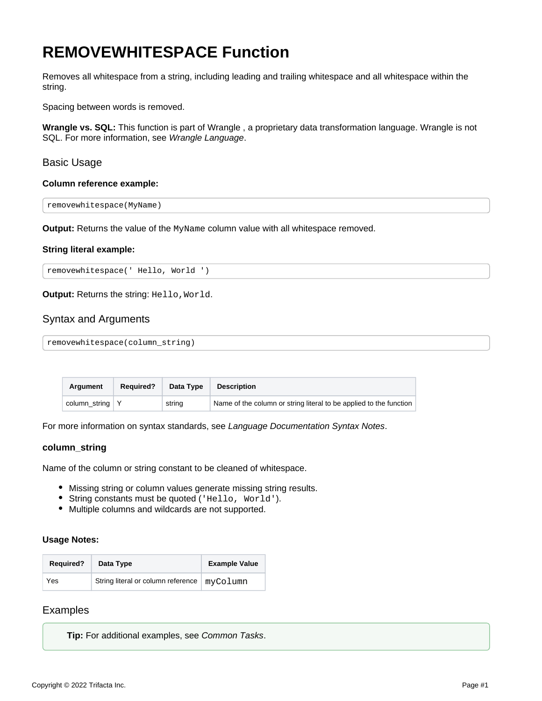# <span id="page-0-0"></span>**REMOVEWHITESPACE Function**

Removes all whitespace from a string, including leading and trailing whitespace and all whitespace within the string.

Spacing between words is removed.

**Wrangle vs. SQL:** This function is part of Wrangle , a proprietary data transformation language. Wrangle is not SQL. For more information, see [Wrangle Language](https://docs.trifacta.com/display/r087/Wrangle+Language).

# Basic Usage

#### **Column reference example:**

removewhitespace(MyName)

**Output:** Returns the value of the MyName column value with all whitespace removed.

#### **String literal example:**

removewhitespace(' Hello, World ')

**Output:** Returns the string: Hello, World.

# Syntax and Arguments

removewhitespace(column\_string)

| Argument                | <b>Required?</b> | Data Type | <b>Description</b>                                                 |
|-------------------------|------------------|-----------|--------------------------------------------------------------------|
| column string $\vert$ Y |                  | string    | Name of the column or string literal to be applied to the function |

For more information on syntax standards, see [Language Documentation Syntax Notes](https://docs.trifacta.com/display/r087/Language+Documentation+Syntax+Notes).

#### **column\_string**

Name of the column or string constant to be cleaned of whitespace.

- Missing string or column values generate missing string results.
- String constants must be quoted ('Hello, World').
- Multiple columns and wildcards are not supported.

#### **Usage Notes:**

| <b>Required?</b> | Data Type                                     | <b>Example Value</b> |
|------------------|-----------------------------------------------|----------------------|
| Yes              | String literal or column reference   myColumn |                      |

# Examples

**Tip:** For additional examples, see [Common Tasks](https://docs.trifacta.com/display/r087/Common+Tasks).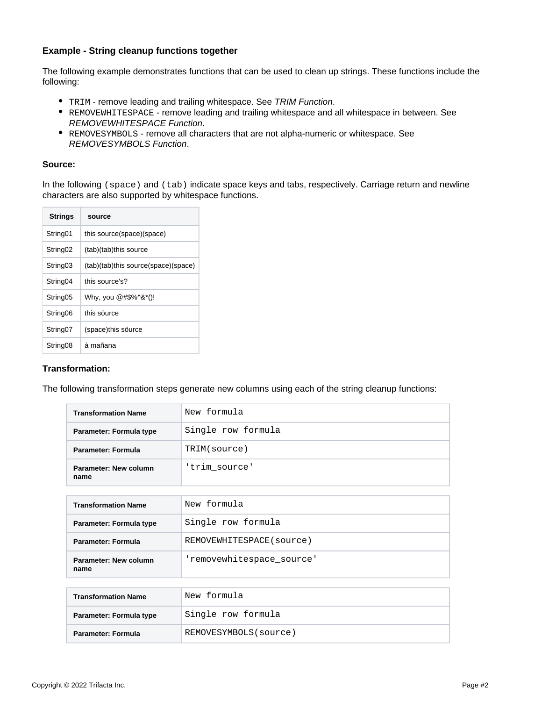# **Example - String cleanup functions together**

The following example demonstrates functions that can be used to clean up strings. These functions include the following:

- TRIM remove leading and trailing whitespace. See [TRIM Function](https://docs.trifacta.com/display/r087/TRIM+Function).
- REMOVEWHITESPACE remove leading and trailing whitespace and all whitespace in between. See [REMOVEWHITESPACE Function](#page-0-0).
- REMOVESYMBOLS remove all characters that are not alpha-numeric or whitespace. See [REMOVESYMBOLS Function](https://docs.trifacta.com/display/r087/REMOVESYMBOLS+Function).

#### **Source:**

In the following (space) and (tab) indicate space keys and tabs, respectively. Carriage return and newline characters are also supported by whitespace functions.

| source                              |
|-------------------------------------|
| this source(space)(space)           |
| (tab)(tab)this source               |
| (tab)(tab)this source(space)(space) |
| this source's?                      |
| Why, you @#\$%^&*()!                |
| this source                         |
| (space)this söurce                  |
| à mañana                            |
|                                     |

# **Transformation:**

The following transformation steps generate new columns using each of the string cleanup functions:

| <b>Transformation Name</b>    | New formula        |
|-------------------------------|--------------------|
| Parameter: Formula type       | Single row formula |
| Parameter: Formula            | TRIM(source)       |
| Parameter: New column<br>name | 'trim source'      |

| <b>Transformation Name</b>    | New formula               |
|-------------------------------|---------------------------|
| Parameter: Formula type       | Single row formula        |
| Parameter: Formula            | REMOVEWHITESPACE (source) |
| Parameter: New column<br>name | 'removewhitespace source' |

| <b>Transformation Name</b> | New formula            |
|----------------------------|------------------------|
| Parameter: Formula type    | Single row formula     |
| Parameter: Formula         | REMOVESYMBOLS (source) |